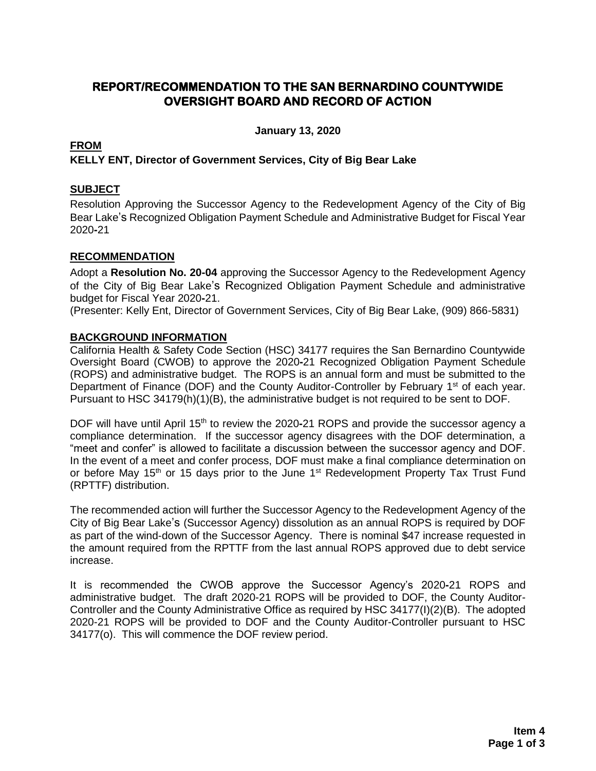### **REPORT/RECOMMENDATION TO THE SAN BERNARDINO COUNTYWIDE OVERSIGHT BOARD AND RECORD OF ACTION**

**January 13, 2020**

#### **FROM**

#### **KELLY ENT, Director of Government Services, City of Big Bear Lake**

#### **SUBJECT**

Resolution Approving the Successor Agency to the Redevelopment Agency of the City of Big Bear Lake's Recognized Obligation Payment Schedule and Administrative Budget for Fiscal Year 2020**-**21

#### **RECOMMENDATION**

Adopt a **Resolution No. 20-04** approving the Successor Agency to the Redevelopment Agency of the City of Big Bear Lake's Recognized Obligation Payment Schedule and administrative budget for Fiscal Year 2020**-**21.

(Presenter: Kelly Ent, Director of Government Services, City of Big Bear Lake, (909) 866-5831)

#### **BACKGROUND INFORMATION**

California Health & Safety Code Section (HSC) 34177 requires the San Bernardino Countywide Oversight Board (CWOB) to approve the 2020**-**21 Recognized Obligation Payment Schedule (ROPS) and administrative budget. The ROPS is an annual form and must be submitted to the Department of Finance (DOF) and the County Auditor-Controller by February 1<sup>st</sup> of each year. Pursuant to HSC 34179(h)(1)(B), the administrative budget is not required to be sent to DOF.

DOF will have until April 15<sup>th</sup> to review the 2020-21 ROPS and provide the successor agency a compliance determination. If the successor agency disagrees with the DOF determination, a "meet and confer" is allowed to facilitate a discussion between the successor agency and DOF. In the event of a meet and confer process, DOF must make a final compliance determination on or before May 15<sup>th</sup> or 15 days prior to the June 1<sup>st</sup> Redevelopment Property Tax Trust Fund (RPTTF) distribution.

The recommended action will further the Successor Agency to the Redevelopment Agency of the City of Big Bear Lake's (Successor Agency) dissolution as an annual ROPS is required by DOF as part of the wind-down of the Successor Agency. There is nominal \$47 increase requested in the amount required from the RPTTF from the last annual ROPS approved due to debt service increase.

It is recommended the CWOB approve the Successor Agency's 2020**-**21 ROPS and administrative budget. The draft 2020-21 ROPS will be provided to DOF, the County Auditor-Controller and the County Administrative Office as required by HSC 34177(I)(2)(B). The adopted 2020-21 ROPS will be provided to DOF and the County Auditor-Controller pursuant to HSC 34177(o). This will commence the DOF review period.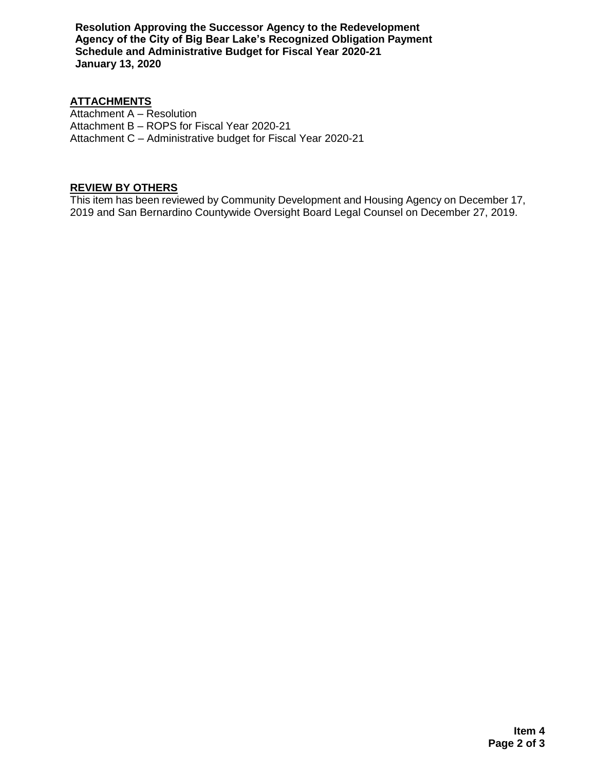**Resolution Approving the Successor Agency to the Redevelopment Agency of the City of Big Bear Lake's Recognized Obligation Payment Schedule and Administrative Budget for Fiscal Year 2020-21 January 13, 2020**

#### **ATTACHMENTS**

Attachment A – Resolution Attachment B – ROPS for Fiscal Year 2020-21 Attachment C – Administrative budget for Fiscal Year 2020-21

#### **REVIEW BY OTHERS**

This item has been reviewed by Community Development and Housing Agency on December 17, 2019 and San Bernardino Countywide Oversight Board Legal Counsel on December 27, 2019.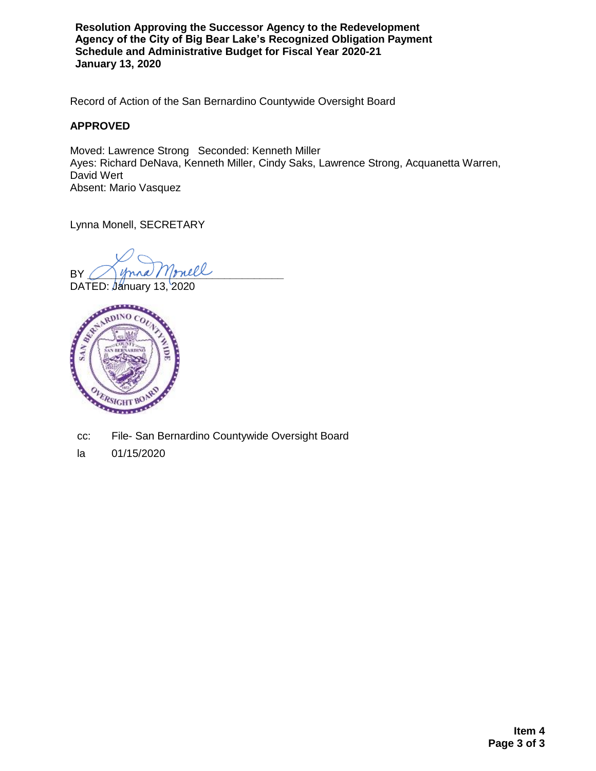**Resolution Approving the Successor Agency to the Redevelopment Agency of the City of Big Bear Lake's Recognized Obligation Payment Schedule and Administrative Budget for Fiscal Year 2020-21 January 13, 2020**

Record of Action of the San Bernardino Countywide Oversight Board

#### **APPROVED**

Moved: Lawrence Strong Seconded: Kenneth Miller Ayes: Richard DeNava, Kenneth Miller, Cindy Saks, Lawrence Strong, Acquanetta Warren, David Wert Absent: Mario Vasquez

Lynna Monell, SECRETARY

 $BY \bigcup$  young / 1/pull



cc: File- San Bernardino Countywide Oversight Board

la 01/15/2020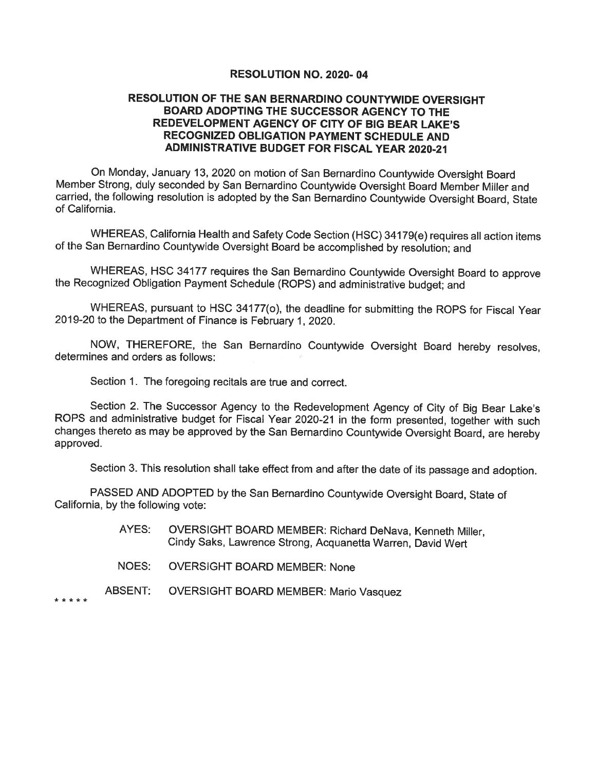#### RESOLUTION NO. 2020-04

#### RESOLUTION OF THE SAN BERNARDINO COUNTYWIDE OVERSIGHT BOARD ADOPTING THE SUCCESSOR AGENCY TO THE REDEVELOPMENT AGENCY OF CITY OF BIG BEAR LAKE'S RECOGNIZED OBLIGATION PAYMENT SCHEDULE AND **ADMINISTRATIVE BUDGET FOR FISCAL YEAR 2020-21**

On Monday, January 13, 2020 on motion of San Bernardino Countywide Oversight Board Member Strong, duly seconded by San Bernardino Countywide Oversight Board Member Miller and carried, the following resolution is adopted by the San Bernardino Countywide Oversight Board, State of California.

WHEREAS, California Health and Safety Code Section (HSC) 34179(e) requires all action items of the San Bernardino Countywide Oversight Board be accomplished by resolution; and

WHEREAS, HSC 34177 requires the San Bernardino Countywide Oversight Board to approve the Recognized Obligation Payment Schedule (ROPS) and administrative budget; and

WHEREAS, pursuant to HSC 34177(o), the deadline for submitting the ROPS for Fiscal Year 2019-20 to the Department of Finance is February 1, 2020.

NOW, THEREFORE, the San Bernardino Countywide Oversight Board hereby resolves, determines and orders as follows:

Section 1. The foregoing recitals are true and correct.

Section 2. The Successor Agency to the Redevelopment Agency of City of Big Bear Lake's ROPS and administrative budget for Fiscal Year 2020-21 in the form presented, together with such changes thereto as may be approved by the San Bernardino Countywide Oversight Board, are hereby approved.

Section 3. This resolution shall take effect from and after the date of its passage and adoption.

PASSED AND ADOPTED by the San Bernardino Countywide Oversight Board, State of California, by the following vote:

- AYES: OVERSIGHT BOARD MEMBER: Richard DeNava, Kenneth Miller. Cindy Saks, Lawrence Strong, Acquanetta Warren, David Wert
- NOES: **OVERSIGHT BOARD MEMBER: None**
- **ABSENT: OVERSIGHT BOARD MEMBER: Mario Vasquez**

\*\*\*\*\*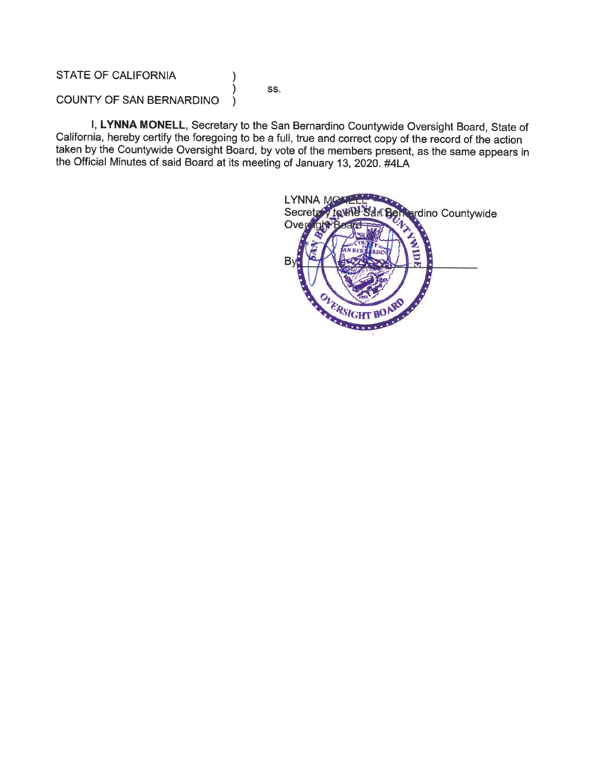#### **STATE OF CALIFORNIA**

SS.

)

١

COUNTY OF SAN BERNARDINO  $\lambda$ 

I, LYNNA MONELL, Secretary to the San Bernardino Countywide Oversight Board, State of California, hereby certify the foregoing to be a full, true and correct copy of the record of the action taken by the Countywide Oversight Board, by vote of the members present, as the same appears in the Official Minutes of said Board at its meeting of January 13, 2020. #4LA

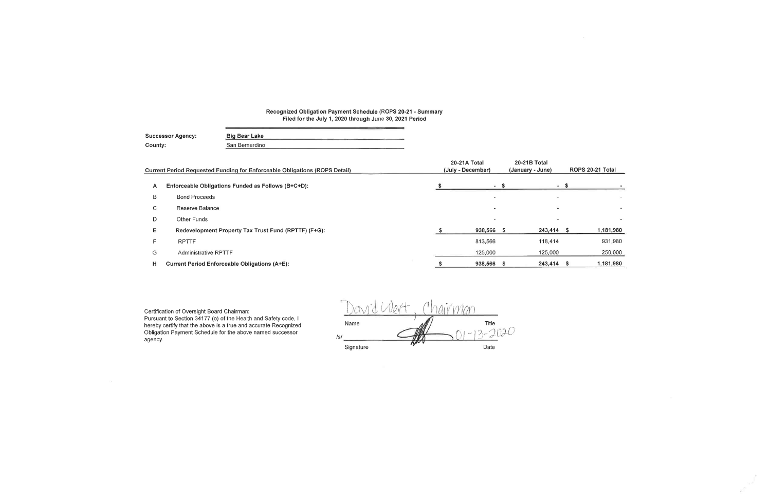## Recognized Obligation Payment Schedule (ROPS 20-21 - Summary<br>Filed for the July 1, 2020 through June 30, 2021 Period

| <b>Successor Agency:</b> | Big Bear Lake  |  |
|--------------------------|----------------|--|
| County:                  | San Bernardino |  |

|    | <b>Current Period Requested Funding for Enforceable Obligations (ROPS Detail)</b> |  | 20-21A Total<br>(July - December) | 20-21B Total<br>(January - June) |                          | ROPS 20-21 Total |           |
|----|-----------------------------------------------------------------------------------|--|-----------------------------------|----------------------------------|--------------------------|------------------|-----------|
| A  | Enforceable Obligations Funded as Follows (B+C+D):                                |  | $-5$                              |                                  | $\sim$                   |                  |           |
| B  | <b>Bond Proceeds</b>                                                              |  | $\overline{\phantom{a}}$          |                                  | $\overline{\phantom{a}}$ |                  |           |
| C. | Reserve Balance                                                                   |  | $\overline{\phantom{a}}$          |                                  |                          |                  |           |
| D  | Other Funds                                                                       |  | $\overline{\phantom{a}}$          |                                  |                          |                  |           |
| Е  | Redevelopment Property Tax Trust Fund (RPTTF) (F+G):                              |  | 938,566 \$                        |                                  | 243,414 \$               |                  | 1,181,980 |
|    | <b>RPTTF</b>                                                                      |  | 813,566                           |                                  | 118,414                  |                  | 931,980   |
| G  | Administrative RPTTF                                                              |  | 125,000                           |                                  | 125,000                  |                  | 250,000   |
| н  | <b>Current Period Enforceable Obligations (A+E):</b>                              |  | 938,566 \$                        |                                  | 243,414 \$               |                  | 1,181,980 |

Certification of Oversight Board Chairman:<br>Pursuant to Section 34177 (o) of the Health and Safety code, I<br>hereby certify that the above is a true and accurate Recognized<br>Obligation Payment Schedule for the above named succ agency.

| 3.  |           | <b>Country</b> |     |           |
|-----|-----------|----------------|-----|-----------|
|     | Name      |                |     | Title     |
| /s/ |           |                | in- | of White, |
|     | Signature |                |     | Date      |

×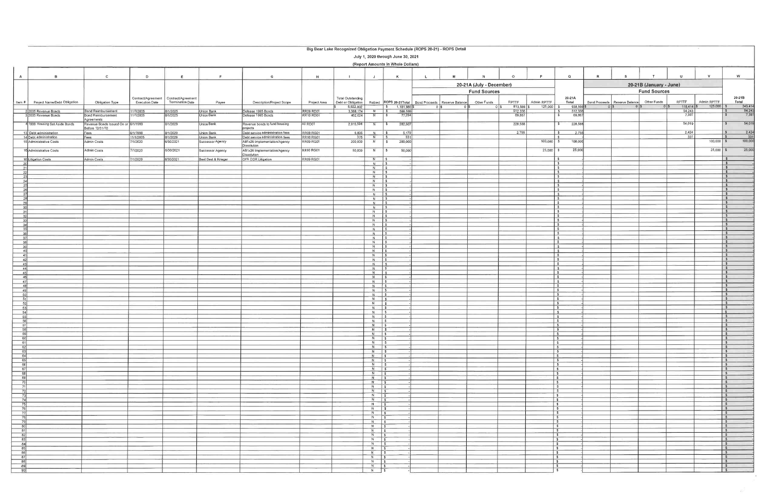|                                                                         | Big Bear Lake Recognized Obligation Payment Schedule (ROPS 20-21) - ROPS Detail |                                                        |                                             |                                               |                                         |                                                                      |                               |                                                |                                         |                                                                            |                                 |   |                                    |                          |                                                                           |                   |   |                                               |                |                        |                             |                                                              |
|-------------------------------------------------------------------------|---------------------------------------------------------------------------------|--------------------------------------------------------|---------------------------------------------|-----------------------------------------------|-----------------------------------------|----------------------------------------------------------------------|-------------------------------|------------------------------------------------|-----------------------------------------|----------------------------------------------------------------------------|---------------------------------|---|------------------------------------|--------------------------|---------------------------------------------------------------------------|-------------------|---|-----------------------------------------------|----------------|------------------------|-----------------------------|--------------------------------------------------------------|
| July 1, 2020 through June 30, 2021<br>(Report Amounts in Whole Dollars) |                                                                                 |                                                        |                                             |                                               |                                         |                                                                      |                               |                                                |                                         |                                                                            |                                 |   |                                    |                          |                                                                           |                   |   |                                               |                |                        |                             |                                                              |
| $\overline{A}$                                                          | $\overline{B}$                                                                  | $\mathbf{C}$                                           | D                                           | E                                             | F.                                      | $\mathbf{G}$                                                         | H                             |                                                | $\mathsf{J}$                            | K                                                                          | $\mathsf{L}$                    | M | N                                  | $\Omega$                 | P                                                                         | $\Omega$          | R |                                               |                |                        | V                           | W                                                            |
|                                                                         |                                                                                 |                                                        |                                             |                                               |                                         |                                                                      |                               |                                                |                                         | 20-21A (July - December)<br>20-21B (January - June)<br><b>Fund Sources</b> |                                 |   |                                    |                          |                                                                           |                   |   |                                               |                |                        |                             |                                                              |
|                                                                         | Item # Project Name/Debt Obligation                                             | Obligation Type                                        | Contract/Agreement<br><b>Execution Date</b> | Contract/Agreement<br><b>Termination Date</b> | Payee                                   | Description/Project Scope                                            | Project Area                  | <b>Total Outstanding</b><br>Debt or Obligation |                                         | Retired ROPS 20-21Total                                                    | Bond Proceeds   Reserve Balance |   | <b>Fund Sources</b><br>Other Funds | RPTTF                    | Admin RPTTF                                                               | 20-21A<br>Total   |   | Bond Proceeds   Reserve Balance   Other Funds |                | RPTTF                  | Admin RPTTF                 | 20-21B<br>Total                                              |
|                                                                         | 2005 Revenue Bonds                                                              |                                                        |                                             | 8/1/2025                                      | Jnion Bank                              | Defease 1995 Bonds                                                   | RR09 RD01                     | 6,922,002<br>3 388 174                         | $N$ 5                                   | \$ 1,181,9805<br>566,599                                                   |                                 |   |                                    | 813,566                  | 125,000                                                                   | 938,566 \$        |   |                                               | 0 <sup>1</sup> | $118.414$ \$<br>54.243 | $125,000$ \$                | 243,414                                                      |
|                                                                         | 32005 Revenue Bonds                                                             | Bond Reimbursement<br>Bond Reimbursement<br>Agreements | 11/1/2005<br>11/1/2005                      | 8/1/2025                                      | Jnion Bank                              | Defease 1995 Bonds                                                   | <b>RR10 RD01</b>              | 462,024                                        | N                                       | 77,264<br>$\sqrt{S}$                                                       |                                 |   |                                    | $\frac{512.356}{69,867}$ |                                                                           | 512,356<br>69,867 |   |                                               |                | 7,397                  |                             | $\frac{54.243}{7,397}$                                       |
|                                                                         | 4 1999 Housing Set Aside Bonds                                                  | Revenue Bonds Issued On or 6/1/1999<br>Before 12/31/10 |                                             | 8/1/2029                                      | Union Bank                              | Revenue bonds to fund housing<br>projects                            | All RD01                      | 2,815,594                                      |                                         | 282,607<br>$N$ $\sqrt{S}$                                                  |                                 |   |                                    | 228,588                  | $\mathbf{s}$                                                              | 228,588           |   |                                               |                | 54,019                 |                             | 54,019<br>$\mathbf{s}$                                       |
|                                                                         | 13 Debt administration<br>14 Debt administration                                | Fees<br>Fees                                           | 6/1/1998<br>11/1/2005                       | 8/1/2029<br>8/1/2029                          | Union Bank<br>Jnion Bank                | Debt service administration fees<br>Debt service administration fees | RR09 RG01<br><b>RR10 RG01</b> | 5,835<br>375                                   | $N$   \$<br>N                           | 5,179<br>$\sqrt{5}$<br>331                                                 |                                 |   |                                    | 2,755                    | l s                                                                       | 2,755             |   |                                               |                | 2.424<br>331           |                             | $\sqrt{5}$<br>2.424<br>331<br>$\hat{\mathbf{r}}$             |
|                                                                         | 15 Administrative Costs                                                         | Admin Costs                                            | 7/1/2020                                    | 6/30/2021                                     | Successor Agency                        | AB1x26 Implementation/Agency<br>Dissolution                          | <b>RR09 RG01</b>              | 200,000                                        | N                                       | 200,000<br>$\sqrt{5}$                                                      |                                 |   |                                    |                          | $100,000$ \$                                                              | 100,000           |   |                                               |                |                        | $100,000$ \$<br>$25,000$ \$ | 100,000<br>25,000                                            |
|                                                                         | 16 Administrative Costs<br>18 Litigation Costs                                  | Admin Costs<br>Admin Costs                             | 7/1/2020<br>7/1/2020                        | 6/30/2021<br>6/30/2021                        | Successor Agency<br>Best Best & Krieger | AB1x26 Implementation/Agency<br>Dissolution<br>OFA DDR Litigation    | <b>RR10 RG01</b><br>RR09 RG01 | 50,000                                         | $N \mid$ \$<br>$N$ \$                   | 50,000                                                                     |                                 |   |                                    |                          | $25,000$ \$                                                               | 25,000            |   |                                               |                |                        |                             | $\mathbf{s}$                                                 |
| 21                                                                      |                                                                                 |                                                        |                                             |                                               |                                         |                                                                      |                               |                                                | $N$ $\sqrt{S}$<br>$N$ $\sqrt{S}$        |                                                                            |                                 |   |                                    |                          |                                                                           |                   |   |                                               |                |                        |                             | $\mathbf{S}$<br>$\mathbf{S}$                                 |
| 22<br>-23                                                               |                                                                                 |                                                        |                                             |                                               |                                         |                                                                      |                               |                                                | $N$   \$<br>$N$ \$                      |                                                                            |                                 |   |                                    |                          | $\sim$<br>$\sim$                                                          |                   |   |                                               |                |                        |                             | $\mathbf{s}$<br>$\mathbf{s}$                                 |
| 24                                                                      |                                                                                 |                                                        |                                             |                                               |                                         |                                                                      |                               |                                                | $N \mid$ \$<br>$N$   \$                 |                                                                            |                                 |   |                                    |                          | $\mathcal{S}$<br>IS.                                                      |                   |   |                                               |                |                        |                             | $\mathbf{s}$<br>$\sim$                                       |
|                                                                         |                                                                                 |                                                        |                                             |                                               |                                         |                                                                      |                               |                                                | $N$ $S$<br>$N$ $\sqrt{5}$               |                                                                            |                                 |   |                                    |                          | $\sqrt{s}$<br>S                                                           |                   |   |                                               |                |                        |                             | $\sim$<br>$\sim$                                             |
| $\overline{29}$                                                         |                                                                                 |                                                        |                                             |                                               |                                         |                                                                      |                               |                                                | $N$ \$                                  |                                                                            |                                 |   |                                    |                          | $\sim$<br>Is.                                                             |                   |   |                                               |                |                        |                             | $\mathbf{s}$<br>$\mathbf{s}$                                 |
| 30<br>$\overline{31}$                                                   |                                                                                 |                                                        |                                             |                                               |                                         |                                                                      |                               |                                                | $N$ $\sqrt{3}$                          |                                                                            |                                 |   |                                    |                          | S<br>IS.                                                                  |                   |   |                                               |                |                        |                             | $\sim$<br>$\mathbf{s}$                                       |
| 32<br>33                                                                |                                                                                 |                                                        |                                             |                                               |                                         |                                                                      |                               |                                                | $N$   \$                                |                                                                            |                                 |   |                                    |                          | S<br>S                                                                    |                   |   |                                               |                |                        |                             | $\sim$<br>$\sim$                                             |
| $\begin{array}{c c}\n34 \\ 35\n\end{array}$                             |                                                                                 |                                                        |                                             |                                               |                                         |                                                                      |                               |                                                | $N = 5$<br>$N$ 5                        |                                                                            |                                 |   |                                    |                          | <b>S</b><br>ls.                                                           |                   |   |                                               |                |                        |                             | $\sim$<br>$\mathsf{s}$                                       |
| 36<br>37                                                                |                                                                                 |                                                        |                                             |                                               |                                         |                                                                      |                               |                                                | $N$ $S$<br>$N$ $\sqrt{S}$               |                                                                            |                                 |   |                                    |                          | S<br>- 5                                                                  |                   |   |                                               |                |                        |                             | S<br>S                                                       |
| 38<br>39                                                                |                                                                                 |                                                        |                                             |                                               |                                         |                                                                      |                               |                                                | $N$ $\frac{1}{3}$<br>$N$ \$             |                                                                            |                                 |   |                                    |                          | Is.<br>$\overline{\phantom{a}}$                                           |                   |   |                                               |                |                        |                             | $\sim$<br>S                                                  |
| 40<br>41                                                                |                                                                                 |                                                        |                                             |                                               |                                         |                                                                      |                               |                                                | $N \mid$ \$<br>$N \mid$ \$              |                                                                            |                                 |   |                                    |                          | $\sqrt{S}$<br>$\vert$ 5                                                   |                   |   |                                               |                |                        |                             | S<br>$\sim$                                                  |
| 42<br>43                                                                |                                                                                 |                                                        |                                             |                                               |                                         |                                                                      |                               |                                                | $N$ $\sqrt{s}$<br>$N$ $\sqrt{S}$        |                                                                            |                                 |   |                                    |                          | s <br>$\sqrt{3}$                                                          |                   |   |                                               |                |                        |                             | $\sim$<br>$\sqrt{2}$                                         |
| 44<br>45                                                                |                                                                                 |                                                        |                                             |                                               |                                         |                                                                      |                               |                                                | N S<br>$N$ $\sqrt{S}$                   |                                                                            |                                 |   |                                    |                          | $\frac{1}{2}$<br>$\sqrt{3}$                                               |                   |   |                                               |                |                        |                             | $\sim$<br>$\sqrt{2}$                                         |
| 46<br>47                                                                |                                                                                 |                                                        |                                             |                                               |                                         |                                                                      |                               |                                                | $N$ $\frac{1}{3}$<br>$N \mid S$         |                                                                            |                                 |   |                                    |                          | $\sqrt{5}$<br>$\sqrt{S}$                                                  |                   |   |                                               |                |                        |                             | $\sim$<br>S                                                  |
| 48<br>49                                                                |                                                                                 |                                                        |                                             |                                               |                                         |                                                                      |                               |                                                | $N$ $s$<br>$N \mid S$                   |                                                                            |                                 |   |                                    |                          | s <br>$\vert s \vert$                                                     |                   |   |                                               |                |                        |                             | $\mathsf{S}$<br>$\sqrt{5}$                                   |
| 50<br>51                                                                |                                                                                 |                                                        |                                             |                                               |                                         |                                                                      |                               |                                                | $N \mid$ \$<br>$N \mid S$               |                                                                            |                                 |   |                                    |                          | $\sqrt{2}$<br>$\frac{1}{2}$                                               |                   |   |                                               |                |                        |                             | $\mathsf{S}$<br>$\sqrt{S}$                                   |
| -52<br>53                                                               |                                                                                 |                                                        |                                             |                                               |                                         |                                                                      |                               |                                                | $N \mid$ \$<br>$N \mid$ \$              |                                                                            |                                 |   |                                    |                          | $\sqrt{3}$<br>$\sqrt{5}$                                                  |                   |   |                                               |                |                        |                             | s <br>$\sqrt{s}$                                             |
| 54<br>55                                                                |                                                                                 |                                                        |                                             |                                               |                                         |                                                                      |                               |                                                | $N$ $\sqrt{S}$<br>$N \mid S$            |                                                                            |                                 |   |                                    |                          | $\sqrt{2}$<br>$\sqrt{5}$                                                  |                   |   |                                               |                |                        |                             | $\sim$ s<br>$\sqrt{S}$                                       |
| 56                                                                      |                                                                                 |                                                        |                                             |                                               |                                         |                                                                      |                               |                                                | $N \mid S$<br>$N$ $\overline{s}$        |                                                                            |                                 |   |                                    |                          | $\sqrt{5}$<br>$\mathsf{S}$                                                |                   |   |                                               |                |                        |                             | $\vert$ s<br>$\mathbf{s}$                                    |
| $\frac{58}{59}$                                                         |                                                                                 |                                                        |                                             |                                               |                                         |                                                                      |                               |                                                | $N \mid$ \$<br>$N$ \$                   |                                                                            |                                 |   |                                    |                          | $\sqrt{3}$<br>$\sqrt{2}$                                                  |                   |   |                                               |                |                        |                             | $\vert$ s<br>$\sqrt{2}$                                      |
| $\begin{array}{r}\n 60 \\  61 \\  \hline\n 62\n \end{array}$            |                                                                                 |                                                        |                                             |                                               |                                         |                                                                      |                               |                                                | $N \quad$ \$<br>$N$ $S$                 |                                                                            |                                 |   |                                    |                          | $\sqrt{2}$<br>$\sqrt{s}$<br>S                                             |                   |   |                                               |                |                        |                             | $\sqrt{ }$<br>$\sqrt{3}$<br>$\sqrt{2}$                       |
| $\begin{array}{r} 63 \\ 64 \\ \hline 65 \end{array}$                    |                                                                                 |                                                        |                                             |                                               |                                         |                                                                      |                               |                                                | $N$ $\frac{1}{3}$<br>$N$ \$<br>$N$   \$ |                                                                            |                                 |   |                                    |                          | s                                                                         |                   |   |                                               |                |                        |                             | $  \mathsf{s}  $<br>$\frac{1}{2}$                            |
|                                                                         |                                                                                 |                                                        |                                             |                                               |                                         |                                                                      |                               |                                                | $N \simeq$ $\sqrt{S}$<br>$N$ $S$        |                                                                            |                                 |   |                                    |                          | s <br>$  \mathsf{s}  $                                                    |                   |   |                                               |                |                        |                             | $\sqrt{3}$<br>$\sqrt{S}$                                     |
| $\begin{array}{r} 66 \\ 67 \end{array}$<br>68                           |                                                                                 |                                                        |                                             |                                               |                                         |                                                                      |                               |                                                | $N$ $S$<br>$N$ \$                       |                                                                            |                                 |   |                                    |                          | $  \mathsf{s}  $<br>$\sqrt{s}$<br>$\sqrt{2}$                              |                   |   |                                               |                |                        |                             | $\frac{1}{2}$<br>$\begin{array}{ c c } \hline s \end{array}$ |
| 69<br>70                                                                |                                                                                 |                                                        |                                             |                                               |                                         |                                                                      |                               |                                                | $N$ \$<br>$N$ \$                        |                                                                            |                                 |   |                                    |                          | s                                                                         |                   |   |                                               |                |                        |                             | s <br>$\sqrt{S}$                                             |
| 71<br>72                                                                |                                                                                 |                                                        |                                             |                                               |                                         |                                                                      |                               |                                                | $N$ $\sqrt{5}$<br>$N$ $S$               |                                                                            |                                 |   |                                    |                          | s <br>$\vert$ s<br>$\vert$ s                                              |                   |   |                                               |                |                        |                             | $\sqrt{s}$<br>$\vert s \vert$                                |
| $\frac{73}{74}$                                                         |                                                                                 |                                                        |                                             |                                               |                                         |                                                                      |                               |                                                | $N$ $S$<br>$N$ $S$                      |                                                                            |                                 |   |                                    |                          | $\frac{s}{s}$                                                             |                   |   |                                               |                |                        |                             | s                                                            |
| 75<br>- 76                                                              |                                                                                 |                                                        |                                             |                                               |                                         |                                                                      |                               |                                                | $N$ $\sqrt{S}$<br>$N$ $\sqrt{3}$        |                                                                            |                                 |   |                                    |                          | $\frac{1}{3}$                                                             |                   |   |                                               |                |                        |                             | $\vert s \vert$<br>$\vert s \vert$                           |
| - 77<br>78                                                              |                                                                                 |                                                        |                                             |                                               |                                         |                                                                      |                               |                                                | $N$ $\sqrt{S}$<br>$N$ $s$               |                                                                            |                                 |   |                                    |                          | $\frac{s}{s}$<br>$\sqrt{5}$                                               |                   |   |                                               |                |                        |                             | $\sqrt{s}$<br> s                                             |
| 79<br>80                                                                |                                                                                 |                                                        |                                             |                                               |                                         |                                                                      |                               |                                                | $N$ 5<br>$N$ $S$                        |                                                                            |                                 |   |                                    |                          | s <br>$\sqrt{s}$                                                          |                   |   |                                               |                |                        |                             | s <br> s                                                     |
| 81<br>82                                                                |                                                                                 |                                                        |                                             |                                               |                                         |                                                                      |                               |                                                | $N \simeq$<br>$N$ \$                    |                                                                            |                                 |   |                                    |                          | 5                                                                         |                   |   |                                               |                |                        |                             | s <br>$\sqrt{5}$                                             |
| 83                                                                      |                                                                                 |                                                        |                                             |                                               |                                         |                                                                      |                               |                                                | $N$ $\sqrt{3}$<br>$N$ $S$               |                                                                            |                                 |   |                                    |                          | $\begin{array}{c c}\n\bullet & \bullet \\ \bullet & \bullet\n\end{array}$ |                   |   |                                               |                |                        |                             | s <br> s                                                     |
| $\begin{array}{r} 84 \\ 85 \\ 86 \end{array}$                           |                                                                                 |                                                        |                                             |                                               |                                         |                                                                      |                               |                                                | $N$ 5<br>$N$ $\sqrt{S}$                 |                                                                            |                                 |   |                                    |                          | s <br> s                                                                  |                   |   |                                               |                |                        |                             | s <br>$\sqrt{S}$                                             |
| 87                                                                      |                                                                                 |                                                        |                                             |                                               |                                         |                                                                      |                               |                                                | $N \quad$ $\sqrt{S}$<br>$N = 5$         |                                                                            |                                 |   |                                    |                          | $\sqrt{3}$                                                                |                   |   |                                               |                |                        |                             | $\sqrt{S}$<br>$\begin{array}{c} \hline \end{array}$          |
| $\begin{array}{r} 88 \\ 89 \\ \hline 90 \end{array}$                    |                                                                                 |                                                        |                                             |                                               |                                         |                                                                      |                               |                                                | $N$ \$<br>$N \qquad$ \$                 |                                                                            |                                 |   |                                    |                          | $\frac{s}{s}$                                                             |                   |   |                                               |                |                        |                             | $\sqrt{s}$<br> s                                             |
|                                                                         |                                                                                 |                                                        |                                             |                                               |                                         |                                                                      |                               |                                                |                                         |                                                                            |                                 |   |                                    |                          |                                                                           |                   |   |                                               |                |                        |                             |                                                              |

 $\mathbb{Z}^2$